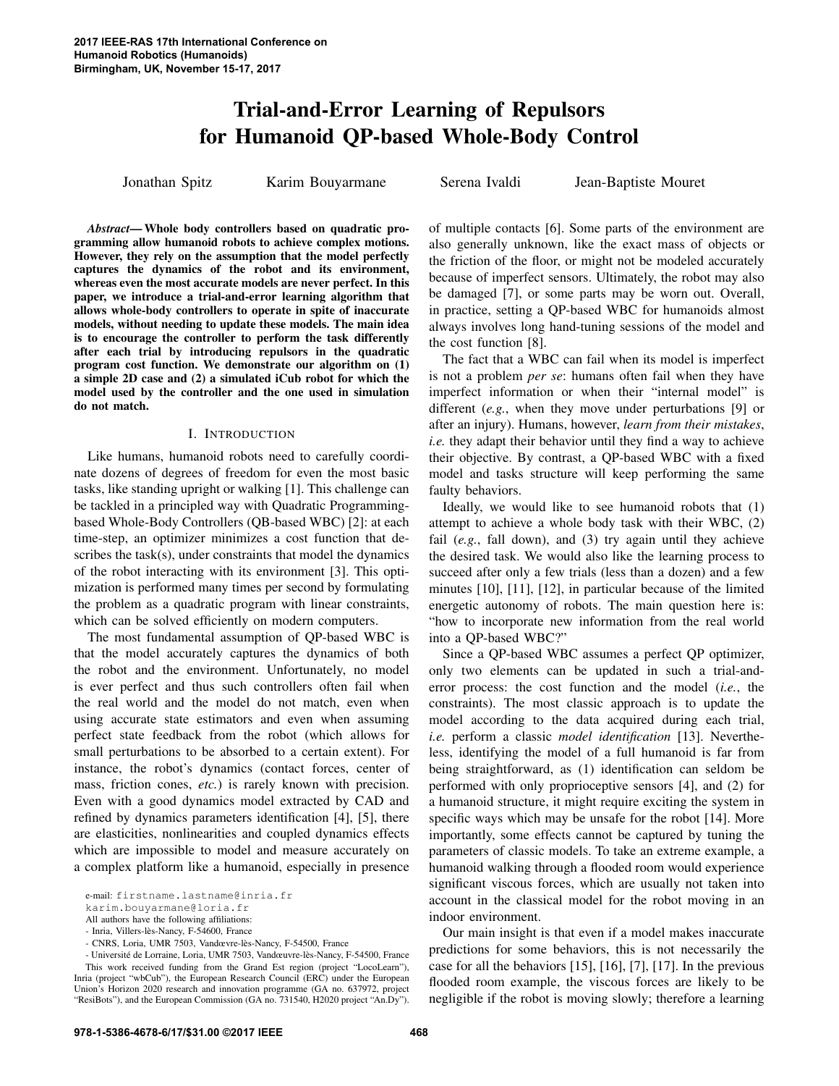# Trial-and-Error Learning of Repulsors for Humanoid QP-based Whole-Body Control

Jonathan Spitz Karim Bouyarmane Serena Ivaldi Jean-Baptiste Mouret

*Abstract*— Whole body controllers based on quadratic programming allow humanoid robots to achieve complex motions. However, they rely on the assumption that the model perfectly captures the dynamics of the robot and its environment, whereas even the most accurate models are never perfect. In this paper, we introduce a trial-and-error learning algorithm that allows whole-body controllers to operate in spite of inaccurate models, without needing to update these models. The main idea is to encourage the controller to perform the task differently after each trial by introducing repulsors in the quadratic program cost function. We demonstrate our algorithm on (1) a simple 2D case and (2) a simulated iCub robot for which the model used by the controller and the one used in simulation do not match.

## I. INTRODUCTION

Like humans, humanoid robots need to carefully coordinate dozens of degrees of freedom for even the most basic tasks, like standing upright or walking [1]. This challenge can be tackled in a principled way with Quadratic Programmingbased Whole-Body Controllers (QB-based WBC) [2]: at each time-step, an optimizer minimizes a cost function that describes the task(s), under constraints that model the dynamics of the robot interacting with its environment [3]. This optimization is performed many times per second by formulating the problem as a quadratic program with linear constraints, which can be solved efficiently on modern computers.

The most fundamental assumption of QP-based WBC is that the model accurately captures the dynamics of both the robot and the environment. Unfortunately, no model is ever perfect and thus such controllers often fail when the real world and the model do not match, even when using accurate state estimators and even when assuming perfect state feedback from the robot (which allows for small perturbations to be absorbed to a certain extent). For instance, the robot's dynamics (contact forces, center of mass, friction cones, *etc.*) is rarely known with precision. Even with a good dynamics model extracted by CAD and refined by dynamics parameters identification [4], [5], there are elasticities, nonlinearities and coupled dynamics effects which are impossible to model and measure accurately on a complex platform like a humanoid, especially in presence

e-mail: firstname.lastname@inria.fr<br>karim.bouyarmane@loria.fr

All authors have the following affiliations:

of multiple contacts [6]. Some parts of the environment are also generally unknown, like the exact mass of objects or the friction of the floor, or might not be modeled accurately because of imperfect sensors. Ultimately, the robot may also be damaged [7], or some parts may be worn out. Overall, in practice, setting a QP-based WBC for humanoids almost always involves long hand-tuning sessions of the model and the cost function [8].

The fact that a WBC can fail when its model is imperfect is not a problem *per se*: humans often fail when they have imperfect information or when their "internal model" is different (*e.g.*, when they move under perturbations [9] or after an injury). Humans, however, *learn from their mistakes*, *i.e.* they adapt their behavior until they find a way to achieve their objective. By contrast, a QP-based WBC with a fixed model and tasks structure will keep performing the same faulty behaviors.

Ideally, we would like to see humanoid robots that (1) attempt to achieve a whole body task with their WBC, (2) fail (*e.g.*, fall down), and (3) try again until they achieve the desired task. We would also like the learning process to succeed after only a few trials (less than a dozen) and a few minutes [10], [11], [12], in particular because of the limited energetic autonomy of robots. The main question here is: "how to incorporate new information from the real world into a QP-based WBC?"

Since a QP-based WBC assumes a perfect QP optimizer, only two elements can be updated in such a trial-anderror process: the cost function and the model (*i.e.*, the constraints). The most classic approach is to update the model according to the data acquired during each trial, *i.e.* perform a classic *model identification* [13]. Nevertheless, identifying the model of a full humanoid is far from being straightforward, as (1) identification can seldom be performed with only proprioceptive sensors [4], and (2) for a humanoid structure, it might require exciting the system in specific ways which may be unsafe for the robot [14]. More importantly, some effects cannot be captured by tuning the parameters of classic models. To take an extreme example, a humanoid walking through a flooded room would experience significant viscous forces, which are usually not taken into account in the classical model for the robot moving in an indoor environment.

Our main insight is that even if a model makes inaccurate predictions for some behaviors, this is not necessarily the case for all the behaviors [15], [16], [7], [17]. In the previous flooded room example, the viscous forces are likely to be negligible if the robot is moving slowly; therefore a learning

<sup>-</sup> Inria, Villers-les-Nancy, F-54600, France `

<sup>-</sup> CNRS, Loria, UMR 7503, Vandœvre-les-Nancy, F-54500, France `

<sup>-</sup> Université de Lorraine, Loria, UMR 7503, Vandœuvre-lès-Nancy, F-54500, France This work received funding from the Grand Est region (project "LocoLearn"), Inria (project "wbCub"), the European Research Council (ERC) under the European Union's Horizon 2020 research and innovation programme (GA no. 637972, project "ResiBots"), and the European Commission (GA no. 731540, H2020 project "An.Dy").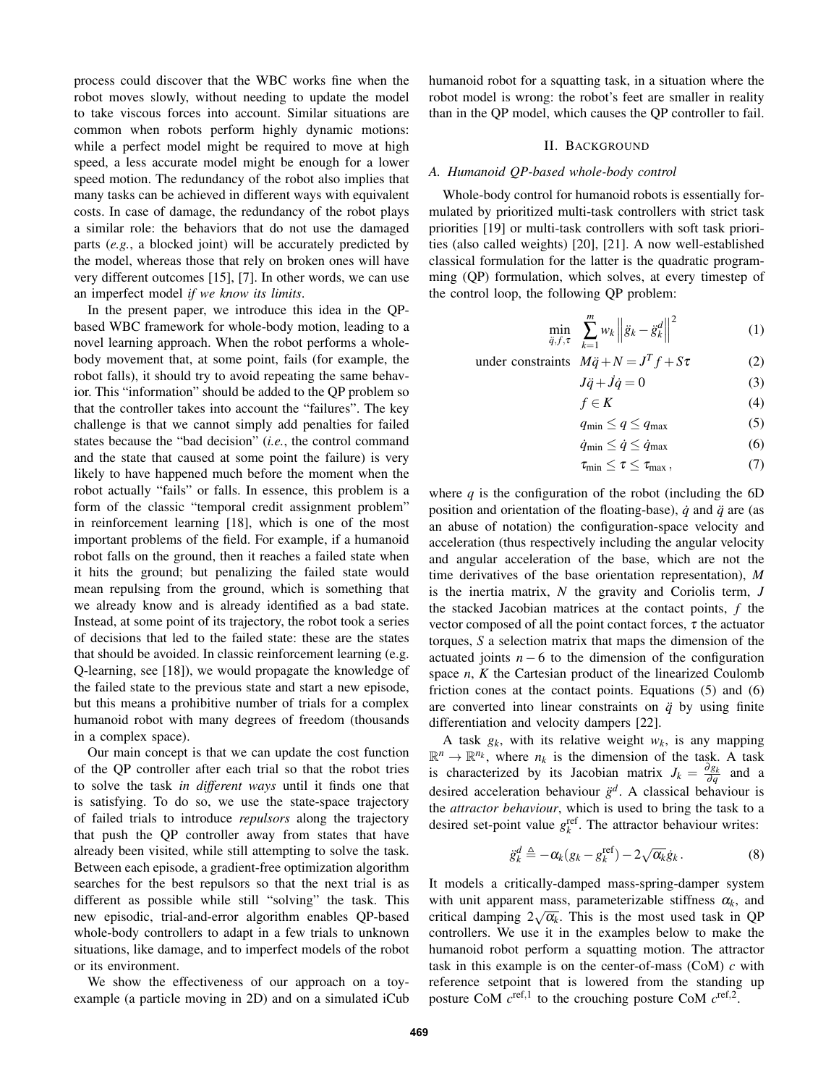process could discover that the WBC works fine when the robot moves slowly, without needing to update the model to take viscous forces into account. Similar situations are common when robots perform highly dynamic motions: while a perfect model might be required to move at high speed, a less accurate model might be enough for a lower speed motion. The redundancy of the robot also implies that many tasks can be achieved in different ways with equivalent costs. In case of damage, the redundancy of the robot plays a similar role: the behaviors that do not use the damaged parts (*e.g.*, a blocked joint) will be accurately predicted by the model, whereas those that rely on broken ones will have very different outcomes [15], [7]. In other words, we can use an imperfect model *if we know its limits*.

In the present paper, we introduce this idea in the QPbased WBC framework for whole-body motion, leading to a novel learning approach. When the robot performs a wholebody movement that, at some point, fails (for example, the robot falls), it should try to avoid repeating the same behavior. This "information" should be added to the QP problem so that the controller takes into account the "failures". The key challenge is that we cannot simply add penalties for failed states because the "bad decision" (*i.e.*, the control command and the state that caused at some point the failure) is very likely to have happened much before the moment when the robot actually "fails" or falls. In essence, this problem is a form of the classic "temporal credit assignment problem" in reinforcement learning [18], which is one of the most important problems of the field. For example, if a humanoid robot falls on the ground, then it reaches a failed state when it hits the ground; but penalizing the failed state would mean repulsing from the ground, which is something that we already know and is already identified as a bad state. Instead, at some point of its trajectory, the robot took a series of decisions that led to the failed state: these are the states that should be avoided. In classic reinforcement learning (e.g. Q-learning, see [18]), we would propagate the knowledge of the failed state to the previous state and start a new episode, but this means a prohibitive number of trials for a complex humanoid robot with many degrees of freedom (thousands in a complex space).

Our main concept is that we can update the cost function of the QP controller after each trial so that the robot tries to solve the task *in different ways* until it finds one that is satisfying. To do so, we use the state-space trajectory of failed trials to introduce *repulsors* along the trajectory that push the QP controller away from states that have already been visited, while still attempting to solve the task. Between each episode, a gradient-free optimization algorithm searches for the best repulsors so that the next trial is as different as possible while still "solving" the task. This new episodic, trial-and-error algorithm enables QP-based whole-body controllers to adapt in a few trials to unknown situations, like damage, and to imperfect models of the robot or its environment.

We show the effectiveness of our approach on a toyexample (a particle moving in 2D) and on a simulated iCub humanoid robot for a squatting task, in a situation where the robot model is wrong: the robot's feet are smaller in reality than in the QP model, which causes the QP controller to fail.

## II. BACKGROUND

## *A. Humanoid QP-based whole-body control*

Whole-body control for humanoid robots is essentially formulated by prioritized multi-task controllers with strict task priorities [19] or multi-task controllers with soft task priorities (also called weights) [20], [21]. A now well-established classical formulation for the latter is the quadratic programming (QP) formulation, which solves, at every timestep of the control loop, the following QP problem:

$$
\min_{\ddot{q},f,\tau} \sum_{k=1}^{m} w_k \left\| \ddot{g}_k - \ddot{g}_k^d \right\|^2 \tag{1}
$$

under constraints  $M\ddot{q} + N = J^T f + S\tau$  (2)

$$
J\ddot{q} + \dot{J}\dot{q} = 0 \tag{3}
$$

$$
f \in K \tag{4}
$$

$$
q_{\min} \le q \le q_{\max} \tag{5}
$$

$$
\dot{q}_{\min} \le \dot{q} \le \dot{q}_{\max} \tag{6}
$$

$$
\tau_{\min} \leq \tau \leq \tau_{\max},\tag{7}
$$

where  $q$  is the configuration of the robot (including the  $6D$ position and orientation of the floating-base),  $\dot{q}$  and  $\ddot{q}$  are (as an abuse of notation) the configuration-space velocity and acceleration (thus respectively including the angular velocity and angular acceleration of the base, which are not the time derivatives of the base orientation representation), *M* is the inertia matrix, *N* the gravity and Coriolis term, *J* the stacked Jacobian matrices at the contact points, *f* the vector composed of all the point contact forces,  $\tau$  the actuator torques, *S* a selection matrix that maps the dimension of the actuated joints  $n - 6$  to the dimension of the configuration space *n*, *K* the Cartesian product of the linearized Coulomb friction cones at the contact points. Equations (5) and (6) are converted into linear constraints on  $\ddot{q}$  by using finite differentiation and velocity dampers [22].

A task  $g_k$ , with its relative weight  $w_k$ , is any mapping  $\mathbb{R}^n \to \mathbb{R}^{n_k}$ , where  $n_k$  is the dimension of the task. A task is characterized by its Jacobian matrix  $J_k = \frac{\partial g_k}{\partial q}$  and a desired acceleration behaviour  $\ddot{g}^d$ . A classical behaviour is the *attractor behaviour*, which is used to bring the task to a desired set-point value  $g_k^{\text{ref}}$ . The attractor behaviour writes:

$$
\ddot{g}_k^d \triangleq -\alpha_k (g_k - g_k^{\text{ref}}) - 2\sqrt{\alpha_k} \dot{g}_k. \tag{8}
$$

It models a critically-damped mass-spring-damper system with unit apparent mass, parameterizable stiffness  $\alpha_k$ , and critical damping  $2\sqrt{\alpha_k}$ . This is the most used task in QP controllers. We use it in the examples below to make the humanoid robot perform a squatting motion. The attractor task in this example is on the center-of-mass (CoM) *c* with reference setpoint that is lowered from the standing up posture CoM  $c^{\text{ref},1}$  to the crouching posture CoM  $c^{\text{ref},2}$ .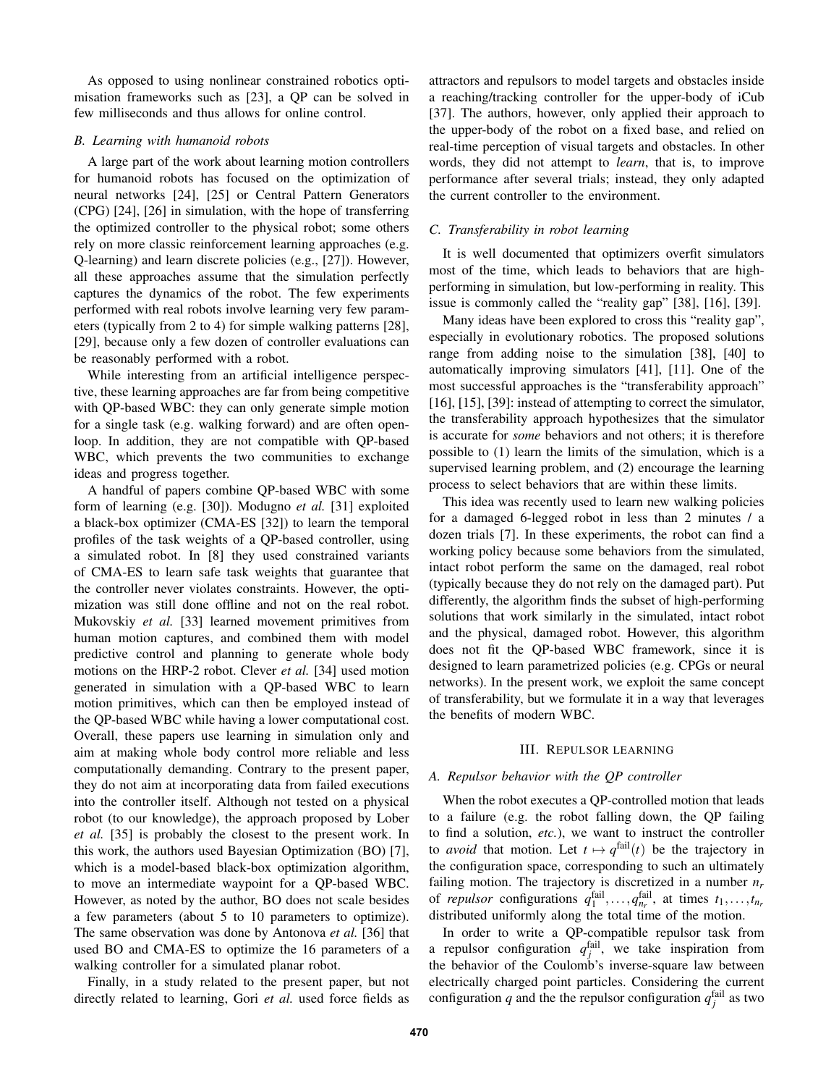As opposed to using nonlinear constrained robotics optimisation frameworks such as [23], a QP can be solved in few milliseconds and thus allows for online control.

## *B. Learning with humanoid robots*

A large part of the work about learning motion controllers for humanoid robots has focused on the optimization of neural networks [24], [25] or Central Pattern Generators (CPG) [24], [26] in simulation, with the hope of transferring the optimized controller to the physical robot; some others rely on more classic reinforcement learning approaches (e.g. Q-learning) and learn discrete policies (e.g., [27]). However, all these approaches assume that the simulation perfectly captures the dynamics of the robot. The few experiments performed with real robots involve learning very few parameters (typically from 2 to 4) for simple walking patterns [28], [29], because only a few dozen of controller evaluations can be reasonably performed with a robot.

While interesting from an artificial intelligence perspective, these learning approaches are far from being competitive with QP-based WBC: they can only generate simple motion for a single task (e.g. walking forward) and are often openloop. In addition, they are not compatible with QP-based WBC, which prevents the two communities to exchange ideas and progress together.

A handful of papers combine QP-based WBC with some form of learning (e.g. [30]). Modugno *et al.* [31] exploited a black-box optimizer (CMA-ES [32]) to learn the temporal profiles of the task weights of a QP-based controller, using a simulated robot. In [8] they used constrained variants of CMA-ES to learn safe task weights that guarantee that the controller never violates constraints. However, the optimization was still done offline and not on the real robot. Mukovskiy *et al.* [33] learned movement primitives from human motion captures, and combined them with model predictive control and planning to generate whole body motions on the HRP-2 robot. Clever *et al.* [34] used motion generated in simulation with a QP-based WBC to learn motion primitives, which can then be employed instead of the QP-based WBC while having a lower computational cost. Overall, these papers use learning in simulation only and aim at making whole body control more reliable and less computationally demanding. Contrary to the present paper, they do not aim at incorporating data from failed executions into the controller itself. Although not tested on a physical robot (to our knowledge), the approach proposed by Lober *et al.* [35] is probably the closest to the present work. In this work, the authors used Bayesian Optimization (BO) [7], which is a model-based black-box optimization algorithm, to move an intermediate waypoint for a QP-based WBC. However, as noted by the author, BO does not scale besides a few parameters (about 5 to 10 parameters to optimize). The same observation was done by Antonova *et al.* [36] that used BO and CMA-ES to optimize the 16 parameters of a walking controller for a simulated planar robot.

Finally, in a study related to the present paper, but not directly related to learning, Gori *et al.* used force fields as attractors and repulsors to model targets and obstacles inside a reaching/tracking controller for the upper-body of iCub [37]. The authors, however, only applied their approach to the upper-body of the robot on a fixed base, and relied on real-time perception of visual targets and obstacles. In other words, they did not attempt to *learn*, that is, to improve performance after several trials; instead, they only adapted the current controller to the environment.

## *C. Transferability in robot learning*

It is well documented that optimizers overfit simulators most of the time, which leads to behaviors that are highperforming in simulation, but low-performing in reality. This issue is commonly called the "reality gap" [38], [16], [39].

Many ideas have been explored to cross this "reality gap", especially in evolutionary robotics. The proposed solutions range from adding noise to the simulation [38], [40] to automatically improving simulators [41], [11]. One of the most successful approaches is the "transferability approach" [16], [15], [39]: instead of attempting to correct the simulator, the transferability approach hypothesizes that the simulator is accurate for *some* behaviors and not others; it is therefore possible to (1) learn the limits of the simulation, which is a supervised learning problem, and (2) encourage the learning process to select behaviors that are within these limits.

This idea was recently used to learn new walking policies for a damaged 6-legged robot in less than 2 minutes / a dozen trials [7]. In these experiments, the robot can find a working policy because some behaviors from the simulated, intact robot perform the same on the damaged, real robot (typically because they do not rely on the damaged part). Put differently, the algorithm finds the subset of high-performing solutions that work similarly in the simulated, intact robot and the physical, damaged robot. However, this algorithm does not fit the QP-based WBC framework, since it is designed to learn parametrized policies (e.g. CPGs or neural networks). In the present work, we exploit the same concept of transferability, but we formulate it in a way that leverages the benefits of modern WBC.

## III. REPULSOR LEARNING

## *A. Repulsor behavior with the QP controller*

When the robot executes a QP-controlled motion that leads to a failure (e.g. the robot falling down, the QP failing to find a solution, *etc.*), we want to instruct the controller to *avoid* that motion. Let  $t \mapsto q^{\text{fail}}(t)$  be the trajectory in the configuration space, corresponding to such an ultimately failing motion. The trajectory is discretized in a number *nr* of *repulsor* configurations  $q_1^{\text{fail}}, \ldots, q_{n_r}^{\text{fail}},$  at times  $t_1, \ldots, t_{n_r}$ distributed uniformly along the total time of the motion.

In order to write a QP-compatible repulsor task from a repulsor configuration  $q_j^{\text{fail}}$ , we take inspiration from the behavior of the Coulomb's inverse-square law between electrically charged point particles. Considering the current configuration  $q$  and the the repulsor configuration  $q_j^{\text{fail}}$  as two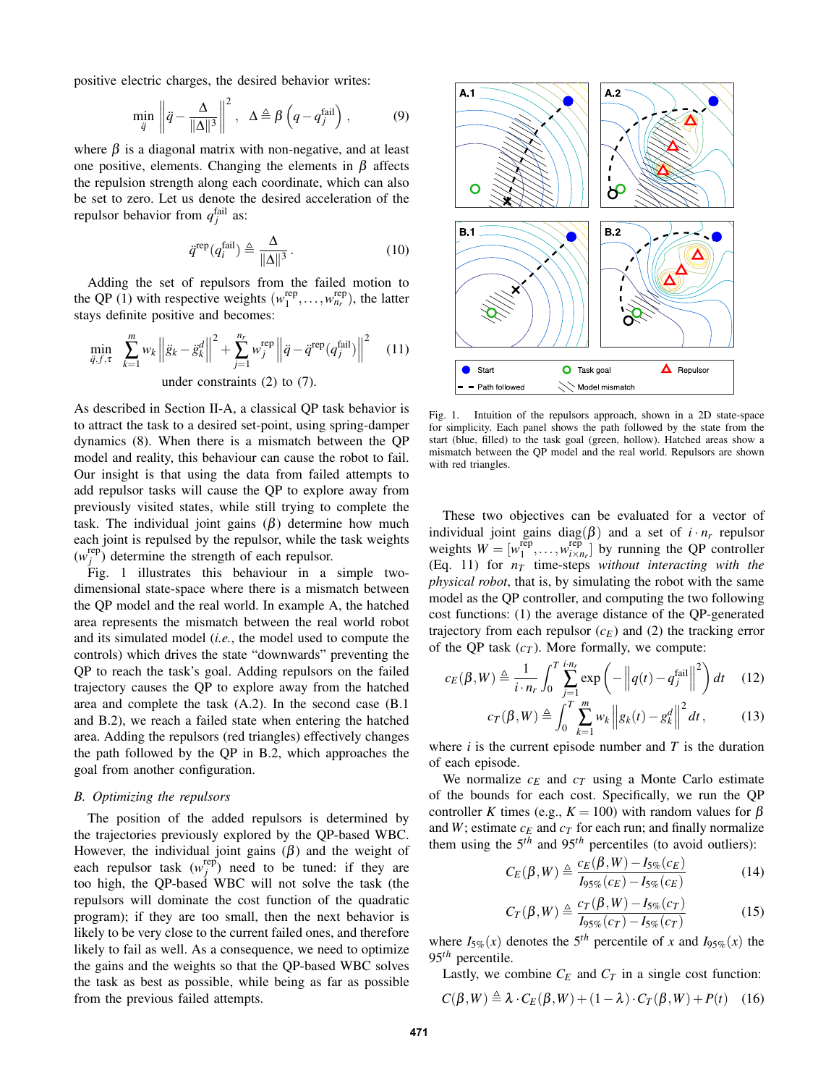positive electric charges, the desired behavior writes:

$$
\min_{\ddot{q}} \left\| \ddot{q} - \frac{\Delta}{\|\Delta\|^3} \right\|^2, \quad \Delta \triangleq \beta \left( q - q_j^{\text{fail}} \right), \tag{9}
$$

where  $\beta$  is a diagonal matrix with non-negative, and at least one positive, elements. Changing the elements in  $\beta$  affects the repulsion strength along each coordinate, which can also be set to zero. Let us denote the desired acceleration of the repulsor behavior from  $q_j^{\text{fail}}$  as:

$$
\ddot{q}^{\text{rep}}(q_i^{\text{fail}}) \triangleq \frac{\Delta}{\|\Delta\|^3} \,. \tag{10}
$$

Adding the set of repulsors from the failed motion to the QP (1) with respective weights  $(w_1^{\text{rep}}, \ldots, w_{n_r}^{\text{rep}})$ , the latter stays definite positive and becomes:

$$
\min_{\ddot{q}, f, \tau} \sum_{k=1}^{m} w_k \left\| \ddot{g}_k - \ddot{g}_k^d \right\|^2 + \sum_{j=1}^{n_r} w_j^{\text{rep}} \left\| \ddot{q} - \ddot{q}^{\text{rep}} (q_j^{\text{fail}}) \right\|^2 \quad (11)
$$
\nunder constraints (2) to (7).

As described in Section II-A, a classical QP task behavior is to attract the task to a desired set-point, using spring-damper dynamics (8). When there is a mismatch between the QP model and reality, this behaviour can cause the robot to fail. Our insight is that using the data from failed attempts to add repulsor tasks will cause the QP to explore away from previously visited states, while still trying to complete the task. The individual joint gains  $(\beta)$  determine how much each joint is repulsed by the repulsor, while the task weights  $(w_j^{\text{rep}})$  determine the strength of each repulsor.

Fig. 1 illustrates this behaviour in a simple twodimensional state-space where there is a mismatch between the QP model and the real world. In example A, the hatched area represents the mismatch between the real world robot and its simulated model (*i.e.*, the model used to compute the controls) which drives the state "downwards" preventing the QP to reach the task's goal. Adding repulsors on the failed trajectory causes the QP to explore away from the hatched area and complete the task (A.2). In the second case (B.1 and B.2), we reach a failed state when entering the hatched area. Adding the repulsors (red triangles) effectively changes the path followed by the QP in B.2, which approaches the goal from another configuration.

#### *B. Optimizing the repulsors*

The position of the added repulsors is determined by the trajectories previously explored by the QP-based WBC. However, the individual joint gains  $(\beta)$  and the weight of each repulsor task  $(w_j^{\text{rep}})$  need to be tuned: if they are too high, the QP-based WBC will not solve the task (the repulsors will dominate the cost function of the quadratic program); if they are too small, then the next behavior is likely to be very close to the current failed ones, and therefore likely to fail as well. As a consequence, we need to optimize the gains and the weights so that the QP-based WBC solves the task as best as possible, while being as far as possible from the previous failed attempts.



Fig. 1. Intuition of the repulsors approach, shown in a 2D state-space for simplicity. Each panel shows the path followed by the state from the start (blue, filled) to the task goal (green, hollow). Hatched areas show a mismatch between the QP model and the real world. Repulsors are shown with red triangles.

These two objectives can be evaluated for a vector of individual joint gains diag( $\beta$ ) and a set of  $i \cdot n_r$  repulsor weights  $W = [w_1^{\text{rep}}, \dots, w_{i \times n_r}^{\text{rep}}]$  by running the QP controller (Eq. 11) for *nT* time-steps *without interacting with the physical robot*, that is, by simulating the robot with the same model as the QP controller, and computing the two following cost functions: (1) the average distance of the QP-generated trajectory from each repulsor  $(c_E)$  and (2) the tracking error of the QP task  $(c_T)$ . More formally, we compute:

$$
c_E(\beta, W) \triangleq \frac{1}{i \cdot n_r} \int_0^T \sum_{j=1}^{i n_r} \exp\left(-\left\|q(t) - q_j^{\text{fail}}\right\|^2\right) dt \quad (12)
$$

$$
c_T(\beta, W) \triangleq \int_0^T \sum_{k=1}^m w_k \left\| g_k(t) - g_k^d \right\|^2 dt, \qquad (13)
$$

where  $i$  is the current episode number and  $T$  is the duration of each episode.

We normalize  $c_E$  and  $c_T$  using a Monte Carlo estimate of the bounds for each cost. Specifically, we run the QP controller *K* times (e.g.,  $K = 100$ ) with random values for  $\beta$ and  $W$ ; estimate  $c_E$  and  $c_T$  for each run; and finally normalize them using the  $5<sup>th</sup>$  and  $95<sup>th</sup>$  percentiles (to avoid outliers):

$$
C_E(\beta, W) \triangleq \frac{c_E(\beta, W) - I_{5\%}(c_E)}{I_{95\%}(c_E) - I_{5\%}(c_E)}\tag{14}
$$

$$
C_T(\beta, W) \triangleq \frac{c_T(\beta, W) - I_{5\%}(c_T)}{I_{95\%}(c_T) - I_{5\%}(c_T)}\tag{15}
$$

where  $I_{5\%}(x)$  denotes the 5<sup>th</sup> percentile of *x* and  $I_{95\%}(x)$  the 95*th* percentile.

Lastly, we combine  $C_E$  and  $C_T$  in a single cost function:

$$
C(\beta, W) \triangleq \lambda \cdot C_E(\beta, W) + (1 - \lambda) \cdot C_T(\beta, W) + P(t) \quad (16)
$$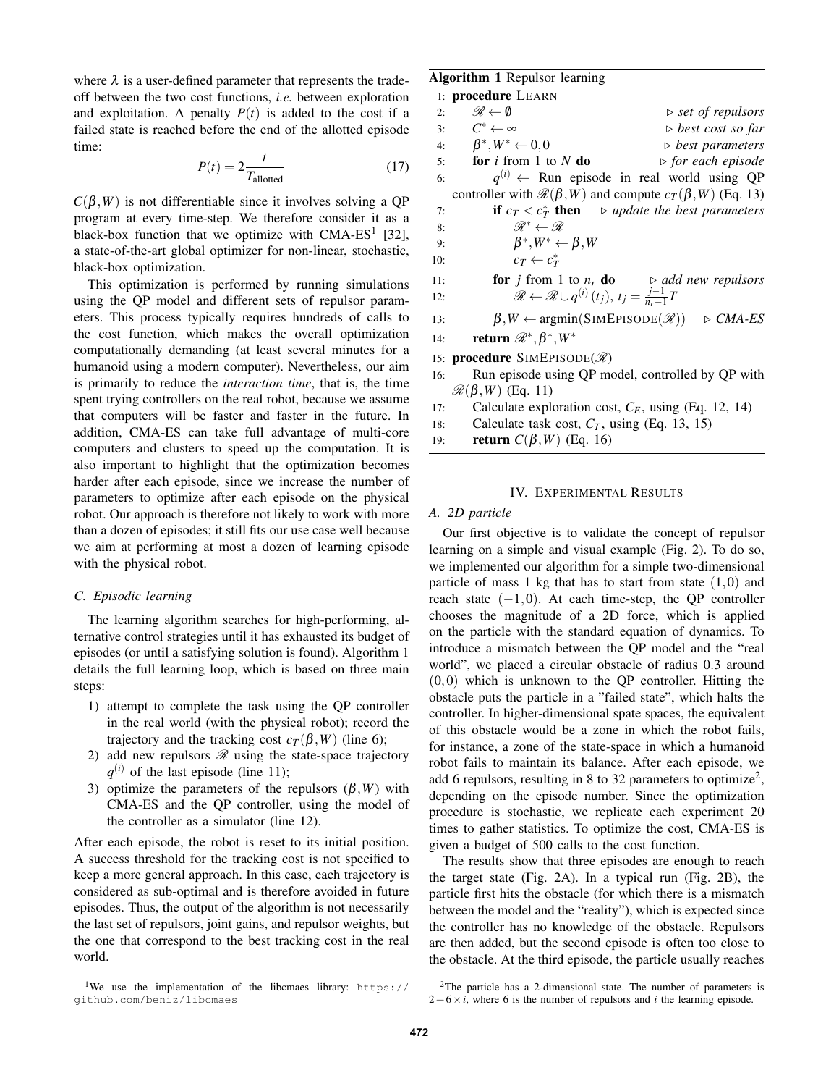where  $\lambda$  is a user-defined parameter that represents the tradeoff between the two cost functions, *i.e.* between exploration and exploitation. A penalty  $P(t)$  is added to the cost if a failed state is reached before the end of the allotted episode time:

$$
P(t) = 2 \frac{t}{T_{\text{allotted}}}
$$
 (17)

 $C(\beta, W)$  is not differentiable since it involves solving a QP program at every time-step. We therefore consider it as a black-box function that we optimize with  $CMA-ES<sup>1</sup>$  [32], a state-of-the-art global optimizer for non-linear, stochastic, black-box optimization.

This optimization is performed by running simulations using the QP model and different sets of repulsor parameters. This process typically requires hundreds of calls to the cost function, which makes the overall optimization computationally demanding (at least several minutes for a humanoid using a modern computer). Nevertheless, our aim is primarily to reduce the *interaction time*, that is, the time spent trying controllers on the real robot, because we assume that computers will be faster and faster in the future. In addition, CMA-ES can take full advantage of multi-core computers and clusters to speed up the computation. It is also important to highlight that the optimization becomes harder after each episode, since we increase the number of parameters to optimize after each episode on the physical robot. Our approach is therefore not likely to work with more than a dozen of episodes; it still fits our use case well because we aim at performing at most a dozen of learning episode with the physical robot.

## *C. Episodic learning*

The learning algorithm searches for high-performing, alternative control strategies until it has exhausted its budget of episodes (or until a satisfying solution is found). Algorithm 1 details the full learning loop, which is based on three main steps:

- 1) attempt to complete the task using the QP controller in the real world (with the physical robot); record the trajectory and the tracking cost  $c_T(\beta, W)$  (line 6);
- 2) add new repulsors  $\mathcal R$  using the state-space trajectory  $q^{(i)}$  of the last episode (line 11);
- 3) optimize the parameters of the repulsors  $(\beta, W)$  with CMA-ES and the QP controller, using the model of the controller as a simulator (line 12).

After each episode, the robot is reset to its initial position. A success threshold for the tracking cost is not specified to keep a more general approach. In this case, each trajectory is considered as sub-optimal and is therefore avoided in future episodes. Thus, the output of the algorithm is not necessarily the last set of repulsors, joint gains, and repulsor weights, but the one that correspond to the best tracking cost in the real world.

#### Algorithm 1 Repulsor learning

|     | 1: <b>procedure</b> LEARN                                                                     |  |
|-----|-----------------------------------------------------------------------------------------------|--|
| 2:  | $\mathscr{R} \leftarrow \emptyset$<br>$\triangleright$ set of repulsors                       |  |
|     | 3: $C^* \leftarrow \infty$<br>$\triangleright$ best cost so far                               |  |
|     | 4: $\beta^*, W^* \leftarrow 0, 0$<br>$\triangleright$ best parameters                         |  |
|     | 5: <b>for</b> i from 1 to N do<br>$\triangleright$ for each episode                           |  |
| 6:  | $q^{(i)} \leftarrow$ Run episode in real world using QP                                       |  |
|     | controller with $\mathcal{R}(\beta, W)$ and compute $c_T(\beta, W)$ (Eq. 13)                  |  |
| 7:  | <b>if</b> $c_T < c_T^*$ then $\Rightarrow$ update the best parameters                         |  |
| 8:  | $\mathscr{R}^* \leftarrow \mathscr{R}$                                                        |  |
| 9:  | $\beta^*, W^* \leftarrow \beta, W$                                                            |  |
| 10: | $c_T \leftarrow c_T^*$                                                                        |  |
| 11: | <b>for</b> <i>j</i> from 1 to $n_r$ <b>do</b> $\rightarrow$ <i>add new repulsors</i>          |  |
| 12: | $\mathscr{R} \leftarrow \mathscr{R} \cup q^{(i)}(t_j), t_j = \frac{j-1}{n-1}T$                |  |
| 13: | $\beta, W \leftarrow \text{argmin}(\text{SIMEPISODE}(\mathcal{R})) \Rightarrow \text{CMA-ES}$ |  |
| 14: | return $\mathscr{R}^*,\beta^*,W^*$                                                            |  |
|     | 15: <b>procedure</b> SIMEPISODE( $\mathscr{R}$ )                                              |  |
|     | 16: Run episode using QP model, controlled by QP with                                         |  |
|     | $\mathcal{R}(\beta,W)$ (Eq. 11)                                                               |  |

- 17: Calculate exploration cost,  $C_E$ , using (Eq. 12, 14)
- 18: Calculate task cost,  $C_T$ , using (Eq. 13, 15)
- 19: return *C*(β,*W*) (Eq. 16)

# IV. EXPERIMENTAL RESULTS

#### *A. 2D particle*

Our first objective is to validate the concept of repulsor learning on a simple and visual example (Fig. 2). To do so, we implemented our algorithm for a simple two-dimensional particle of mass 1 kg that has to start from state  $(1,0)$  and reach state  $(-1,0)$ . At each time-step, the QP controller chooses the magnitude of a 2D force, which is applied on the particle with the standard equation of dynamics. To introduce a mismatch between the QP model and the "real world", we placed a circular obstacle of radius 0.3 around  $(0,0)$  which is unknown to the QP controller. Hitting the obstacle puts the particle in a "failed state", which halts the controller. In higher-dimensional spate spaces, the equivalent of this obstacle would be a zone in which the robot fails, for instance, a zone of the state-space in which a humanoid robot fails to maintain its balance. After each episode, we add 6 repulsors, resulting in 8 to 32 parameters to optimize<sup>2</sup>, depending on the episode number. Since the optimization procedure is stochastic, we replicate each experiment 20 times to gather statistics. To optimize the cost, CMA-ES is given a budget of 500 calls to the cost function.

The results show that three episodes are enough to reach the target state (Fig. 2A). In a typical run (Fig. 2B), the particle first hits the obstacle (for which there is a mismatch between the model and the "reality"), which is expected since the controller has no knowledge of the obstacle. Repulsors are then added, but the second episode is often too close to the obstacle. At the third episode, the particle usually reaches

<sup>&</sup>lt;sup>1</sup>We use the implementation of the libcmaes library: https://<br>qithub.com/beniz/libcmaes  $g$ ithub.com/beniz/libcaes/libcaes/libcaes/

<sup>2</sup>The particle has a 2-dimensional state. The number of parameters is  $2+6\times i$ , where 6 is the number of repulsors and *i* the learning episode.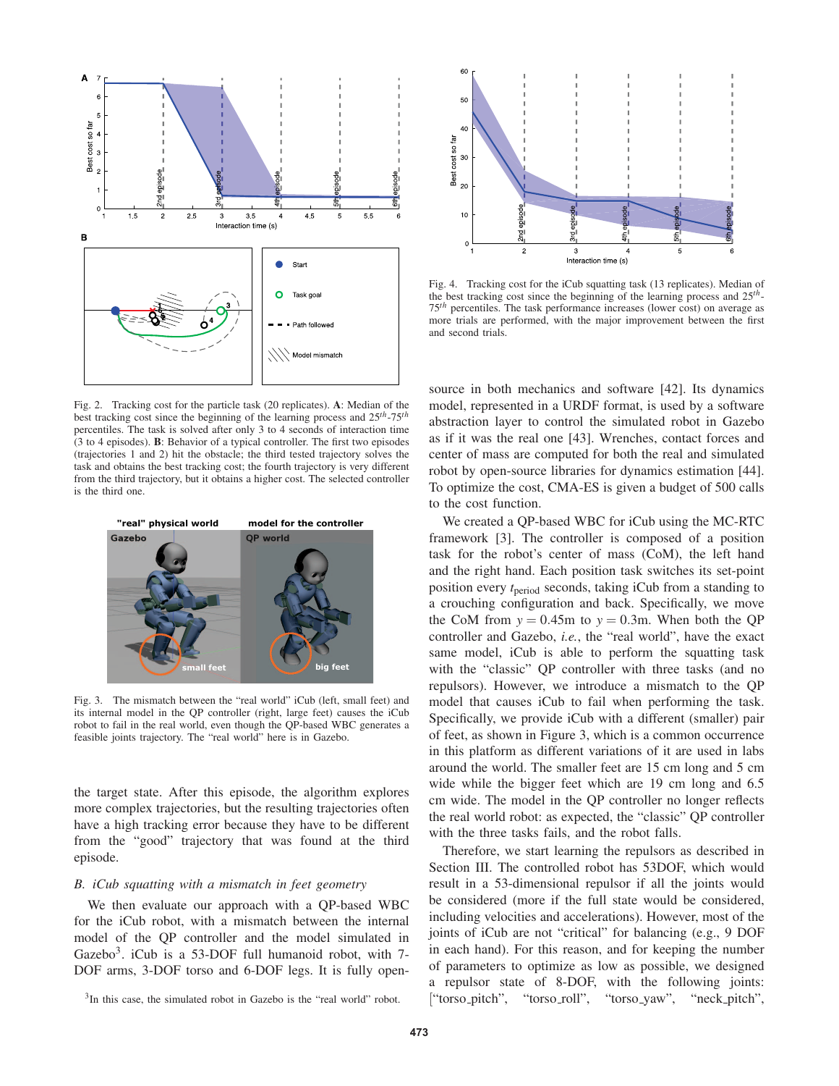

Fig. 2. Tracking cost for the particle task (20 replicates). A: Median of the best tracking cost since the beginning of the learning process and 25*th*-75*th* percentiles. The task is solved after only 3 to 4 seconds of interaction time (3 to 4 episodes). B: Behavior of a typical controller. The first two episodes (trajectories 1 and 2) hit the obstacle; the third tested trajectory solves the task and obtains the best tracking cost; the fourth trajectory is very different from the third trajectory, but it obtains a higher cost. The selected controller is the third one.



Fig. 3. The mismatch between the "real world" iCub (left, small feet) and its internal model in the QP controller (right, large feet) causes the iCub robot to fail in the real world, even though the QP-based WBC generates a feasible joints trajectory. The "real world" here is in Gazebo.

the target state. After this episode, the algorithm explores more complex trajectories, but the resulting trajectories often have a high tracking error because they have to be different from the "good" trajectory that was found at the third episode.

# *B. iCub squatting with a mismatch in feet geometry*

We then evaluate our approach with a QP-based WBC for the iCub robot, with a mismatch between the internal model of the QP controller and the model simulated in Gazebo<sup>3</sup>. iCub is a 53-DOF full humanoid robot, with  $7$ -DOF arms, 3-DOF torso and 6-DOF legs. It is fully open-



Fig. 4. Tracking cost for the iCub squatting task (13 replicates). Median of the best tracking cost since the beginning of the learning process and 25*th*-75*th* percentiles. The task performance increases (lower cost) on average as more trials are performed, with the major improvement between the first and second trials.

source in both mechanics and software [42]. Its dynamics model, represented in a URDF format, is used by a software abstraction layer to control the simulated robot in Gazebo as if it was the real one [43]. Wrenches, contact forces and center of mass are computed for both the real and simulated robot by open-source libraries for dynamics estimation [44]. To optimize the cost, CMA-ES is given a budget of 500 calls to the cost function.

We created a QP-based WBC for iCub using the MC-RTC framework [3]. The controller is composed of a position task for the robot's center of mass (CoM), the left hand and the right hand. Each position task switches its set-point position every *t*period seconds, taking iCub from a standing to a crouching configuration and back. Specifically, we move the CoM from  $y = 0.45$ m to  $y = 0.3$ m. When both the QP controller and Gazebo, *i.e.*, the "real world", have the exact same model, iCub is able to perform the squatting task with the "classic" QP controller with three tasks (and no repulsors). However, we introduce a mismatch to the QP model that causes iCub to fail when performing the task. Specifically, we provide iCub with a different (smaller) pair of feet, as shown in Figure 3, which is a common occurrence in this platform as different variations of it are used in labs around the world. The smaller feet are 15 cm long and 5 cm wide while the bigger feet which are 19 cm long and 6.5 cm wide. The model in the QP controller no longer reflects the real world robot: as expected, the "classic" QP controller with the three tasks fails, and the robot falls.

Therefore, we start learning the repulsors as described in Section III. The controlled robot has 53DOF, which would result in a 53-dimensional repulsor if all the joints would be considered (more if the full state would be considered, including velocities and accelerations). However, most of the joints of iCub are not "critical" for balancing (e.g., 9 DOF in each hand). For this reason, and for keeping the number of parameters to optimize as low as possible, we designed a repulsor state of 8-DOF, with the following joints: ["torso pitch", "torso roll", "torso yaw", "neck pitch",

<sup>&</sup>lt;sup>3</sup>In this case, the simulated robot in Gazebo is the "real world" robot.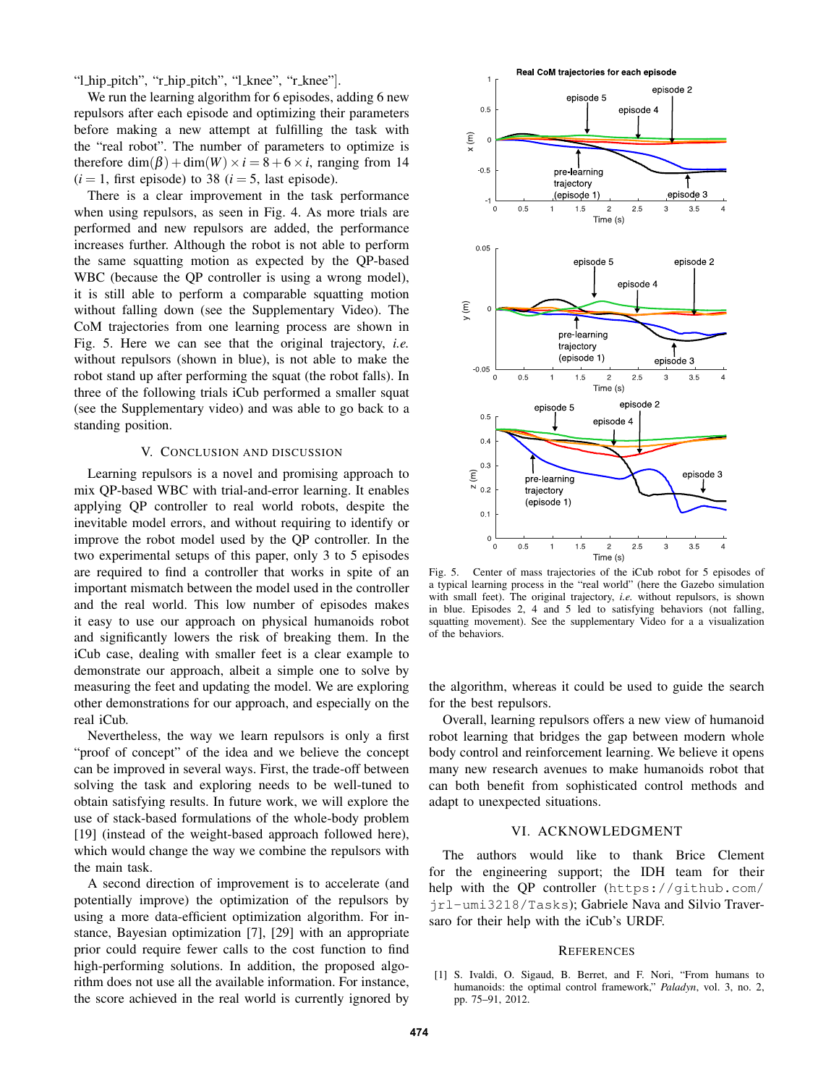"l hip pitch", "r hip pitch", "l knee", "r knee"].

We run the learning algorithm for 6 episodes, adding 6 new repulsors after each episode and optimizing their parameters before making a new attempt at fulfilling the task with the "real robot". The number of parameters to optimize is therefore dim( $\beta$ ) + dim( $W$ ) ×  $i = 8 + 6 \times i$ , ranging from 14  $(i = 1$ , first episode) to 38  $(i = 5$ , last episode).

There is a clear improvement in the task performance when using repulsors, as seen in Fig. 4. As more trials are performed and new repulsors are added, the performance increases further. Although the robot is not able to perform the same squatting motion as expected by the QP-based WBC (because the QP controller is using a wrong model), it is still able to perform a comparable squatting motion without falling down (see the Supplementary Video). The CoM trajectories from one learning process are shown in Fig. 5. Here we can see that the original trajectory, *i.e.* without repulsors (shown in blue), is not able to make the robot stand up after performing the squat (the robot falls). In three of the following trials iCub performed a smaller squat (see the Supplementary video) and was able to go back to a standing position.

## V. CONCLUSION AND DISCUSSION

Learning repulsors is a novel and promising approach to mix QP-based WBC with trial-and-error learning. It enables applying QP controller to real world robots, despite the inevitable model errors, and without requiring to identify or improve the robot model used by the QP controller. In the two experimental setups of this paper, only 3 to 5 episodes are required to find a controller that works in spite of an important mismatch between the model used in the controller and the real world. This low number of episodes makes it easy to use our approach on physical humanoids robot and significantly lowers the risk of breaking them. In the iCub case, dealing with smaller feet is a clear example to demonstrate our approach, albeit a simple one to solve by measuring the feet and updating the model. We are exploring other demonstrations for our approach, and especially on the real iCub.

Nevertheless, the way we learn repulsors is only a first "proof of concept" of the idea and we believe the concept can be improved in several ways. First, the trade-off between solving the task and exploring needs to be well-tuned to obtain satisfying results. In future work, we will explore the use of stack-based formulations of the whole-body problem [19] (instead of the weight-based approach followed here), which would change the way we combine the repulsors with the main task.

A second direction of improvement is to accelerate (and potentially improve) the optimization of the repulsors by using a more data-efficient optimization algorithm. For instance, Bayesian optimization [7], [29] with an appropriate prior could require fewer calls to the cost function to find high-performing solutions. In addition, the proposed algorithm does not use all the available information. For instance, the score achieved in the real world is currently ignored by



Fig. 5. Center of mass trajectories of the iCub robot for 5 episodes of a typical learning process in the "real world" (here the Gazebo simulation with small feet). The original trajectory, *i.e.* without repulsors, is shown in blue. Episodes 2, 4 and 5 led to satisfying behaviors (not falling, squatting movement). See the supplementary Video for a a visualization of the behaviors.

the algorithm, whereas it could be used to guide the search for the best repulsors.

Overall, learning repulsors offers a new view of humanoid robot learning that bridges the gap between modern whole body control and reinforcement learning. We believe it opens many new research avenues to make humanoids robot that can both benefit from sophisticated control methods and adapt to unexpected situations.

#### VI. ACKNOWLEDGMENT

The authors would like to thank Brice Clement for the engineering support; the IDH team for their help with the QP controller (https://github.com/ jrl-umi3218/Tasks); Gabriele Nava and Silvio Traversaro for their help with the iCub's URDF.

#### **REFERENCES**

[1] S. Ivaldi, O. Sigaud, B. Berret, and F. Nori, "From humans to humanoids: the optimal control framework," *Paladyn*, vol. 3, no. 2, pp. 75–91, 2012.